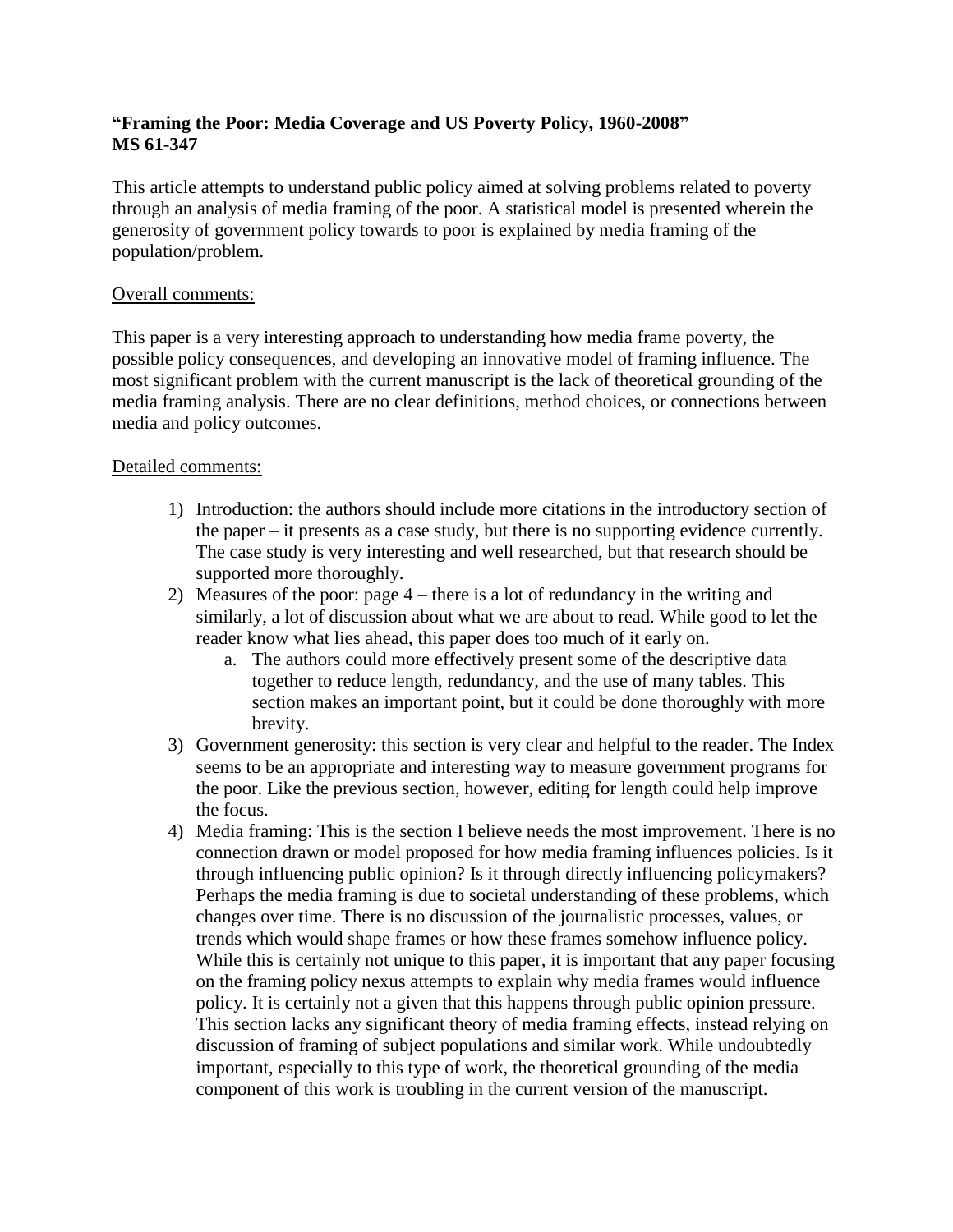## **"Framing the Poor: Media Coverage and US Poverty Policy, 1960-2008" MS 61-347**

This article attempts to understand public policy aimed at solving problems related to poverty through an analysis of media framing of the poor. A statistical model is presented wherein the generosity of government policy towards to poor is explained by media framing of the population/problem.

## Overall comments:

This paper is a very interesting approach to understanding how media frame poverty, the possible policy consequences, and developing an innovative model of framing influence. The most significant problem with the current manuscript is the lack of theoretical grounding of the media framing analysis. There are no clear definitions, method choices, or connections between media and policy outcomes.

## Detailed comments:

- 1) Introduction: the authors should include more citations in the introductory section of the paper – it presents as a case study, but there is no supporting evidence currently. The case study is very interesting and well researched, but that research should be supported more thoroughly.
- 2) Measures of the poor: page 4 there is a lot of redundancy in the writing and similarly, a lot of discussion about what we are about to read. While good to let the reader know what lies ahead, this paper does too much of it early on.
	- a. The authors could more effectively present some of the descriptive data together to reduce length, redundancy, and the use of many tables. This section makes an important point, but it could be done thoroughly with more brevity.
- 3) Government generosity: this section is very clear and helpful to the reader. The Index seems to be an appropriate and interesting way to measure government programs for the poor. Like the previous section, however, editing for length could help improve the focus.
- 4) Media framing: This is the section I believe needs the most improvement. There is no connection drawn or model proposed for how media framing influences policies. Is it through influencing public opinion? Is it through directly influencing policymakers? Perhaps the media framing is due to societal understanding of these problems, which changes over time. There is no discussion of the journalistic processes, values, or trends which would shape frames or how these frames somehow influence policy. While this is certainly not unique to this paper, it is important that any paper focusing on the framing policy nexus attempts to explain why media frames would influence policy. It is certainly not a given that this happens through public opinion pressure. This section lacks any significant theory of media framing effects, instead relying on discussion of framing of subject populations and similar work. While undoubtedly important, especially to this type of work, the theoretical grounding of the media component of this work is troubling in the current version of the manuscript.